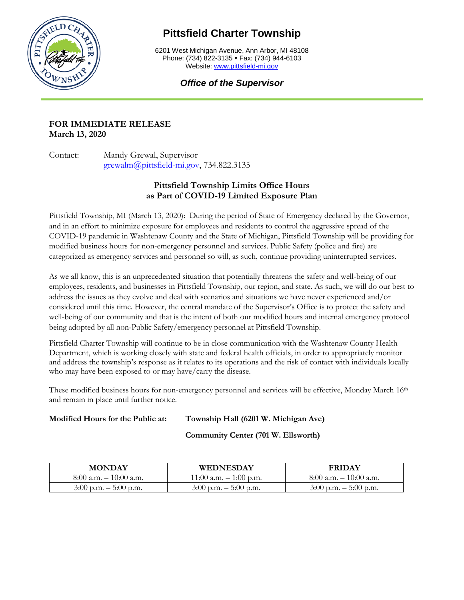

# **Pittsfield Charter Township**

6201 West Michigan Avenue, Ann Arbor, MI 48108 Phone: (734) 822-3135 • Fax: (734) 944-6103 Website[: www.pittsfield-mi.gov](http://www.pittsfield-mi.gov/)

# *Office of the Supervisor*

## **FOR IMMEDIATE RELEASE March 13, 2020**

Contact: Mandy Grewal, Supervisor [grewalm@pittsfield-mi.gov,](mailto:grewalm@pittsfield-mi.gov) 734.822.3135

# **Pittsfield Township Limits Office Hours as Part of COVID-19 Limited Exposure Plan**

Pittsfield Township, MI (March 13, 2020): During the period of State of Emergency declared by the Governor, and in an effort to minimize exposure for employees and residents to control the aggressive spread of the COVID-19 pandemic in Washtenaw County and the State of Michigan, Pittsfield Township will be providing for modified business hours for non-emergency personnel and services. Public Safety (police and fire) are categorized as emergency services and personnel so will, as such, continue providing uninterrupted services.

As we all know, this is an unprecedented situation that potentially threatens the safety and well-being of our employees, residents, and businesses in Pittsfield Township, our region, and state. As such, we will do our best to address the issues as they evolve and deal with scenarios and situations we have never experienced and/or considered until this time. However, the central mandate of the Supervisor's Office is to protect the safety and well-being of our community and that is the intent of both our modified hours and internal emergency protocol being adopted by all non-Public Safety/emergency personnel at Pittsfield Township.

Pittsfield Charter Township will continue to be in close communication with the Washtenaw County Health Department, which is working closely with state and federal health officials, in order to appropriately monitor and address the township's response as it relates to its operations and the risk of contact with individuals locally who may have been exposed to or may have/carry the disease.

These modified business hours for non-emergency personnel and services will be effective, Monday March 16<sup>th</sup> and remain in place until further notice.

# **Modified Hours for the Public at: Township Hall (6201 W. Michigan Ave)**

**Community Center (701 W. Ellsworth)** 

| <b>MONDAY</b>             | <b>WEDNESDAY</b>          | <b>FRIDAY</b>             |
|---------------------------|---------------------------|---------------------------|
| $8:00$ a.m. $-10:00$ a.m. | $11:00$ a.m. $-1:00$ p.m. | $8:00$ a.m. $-10:00$ a.m. |
| $3:00$ p.m. $-5:00$ p.m.  | $3:00$ p.m. $-5:00$ p.m.  | $3:00$ p.m. $-5:00$ p.m.  |